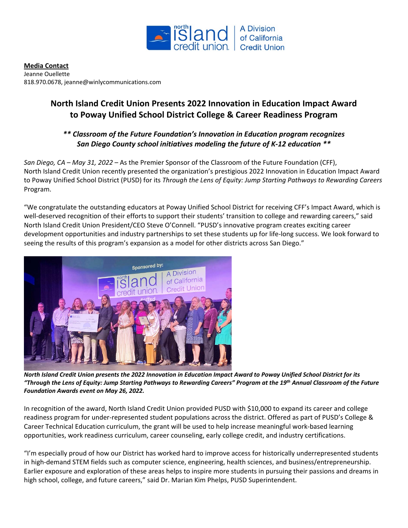

**Media Contact** Jeanne Ouellette 818.970.0678[, jeanne@winlycommunications.com](mailto:jfaucher@ccu.com)

## **North Island Credit Union Presents 2022 Innovation in Education Impact Award to Poway Unified School District College & Career Readiness Program**

## *\*\* Classroom of the Future Foundation's Innovation in Education program recognizes San Diego County school initiatives modeling the future of K-12 education \*\**

*San Diego, CA – May 31, 2022* – As the Premier Sponsor of the Classroom of the Future Foundation (CFF), North Island Credit Union recently presented the organization's prestigious 2022 Innovation in Education Impact Award to Poway Unified School District (PUSD) for its *Through the Lens of Equity: Jump Starting Pathways to Rewarding Careers* Program.

"We congratulate the outstanding educators at Poway Unified School District for receiving CFF's Impact Award, which is well-deserved recognition of their efforts to support their students' transition to college and rewarding careers," said North Island Credit Union President/CEO Steve O'Connell. "PUSD's innovative program creates exciting career development opportunities and industry partnerships to set these students up for life-long success. We look forward to seeing the results of this program's expansion as a model for other districts across San Diego."



*North Island Credit Union presents the 2022 Innovation in Education Impact Award to Poway Unified School District for its "Through the Lens of Equity: Jump Starting Pathways to Rewarding Careers" Program at the 19th Annual Classroom of the Future Foundation Awards event on May 26, 2022.* 

In recognition of the award, North Island Credit Union provided PUSD with \$10,000 to expand its career and college readiness program for under-represented student populations across the district. Offered as part of PUSD's College & Career Technical Education curriculum, the grant will be used to help increase meaningful work-based learning opportunities, work readiness curriculum, career counseling, early college credit, and industry certifications.

"I'm especially proud of how our District has worked hard to improve access for historically underrepresented students in high-demand STEM fields such as computer science, engineering, health sciences, and business/entrepreneurship. Earlier exposure and exploration of these areas helps to inspire more students in pursuing their passions and dreams in high school, college, and future careers," said Dr. Marian Kim Phelps, PUSD Superintendent.